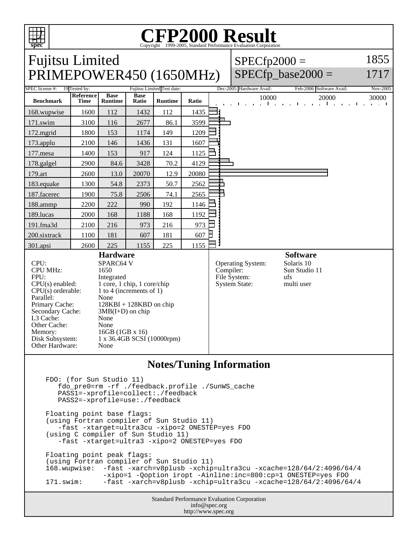

## C<sub>opyright</sub> ©1999-2005, Standard Performance Evaluation Corporation

| <b>Fujitsu Limited</b><br>PRIMEPOWER450 (1650MHz)                                                                                                                                                            |                                                                                                                                                                                                                                                   |                |             |                            |           |                                                           | $SPECfp2000 =$                                                      | SPECfp base2000 $=$      |                      | 1855<br>1717   |
|--------------------------------------------------------------------------------------------------------------------------------------------------------------------------------------------------------------|---------------------------------------------------------------------------------------------------------------------------------------------------------------------------------------------------------------------------------------------------|----------------|-------------|----------------------------|-----------|-----------------------------------------------------------|---------------------------------------------------------------------|--------------------------|----------------------|----------------|
| SPEC license #: 19 Tested by:                                                                                                                                                                                | <b>Reference</b>                                                                                                                                                                                                                                  | <b>Base</b>    | <b>Base</b> | Fujitsu Limited Test date: |           |                                                           | Dec-2005 Hardware Avail:                                            | Feb-2006 Software Avail: |                      | Nov-2005       |
| <b>Benchmark</b>                                                                                                                                                                                             | <b>Time</b>                                                                                                                                                                                                                                       | <b>Runtime</b> | Ratio       | <b>Runtime</b>             | Ratio     |                                                           | 10000                                                               | 1.1.1.1<br>$\mathbf{r}$  | 20000<br>.<br>$\sim$ | 30000<br>1.111 |
| 168.wupwise                                                                                                                                                                                                  | 1600                                                                                                                                                                                                                                              | 112            | 1432        | 112                        | 1435      |                                                           |                                                                     |                          |                      |                |
| 171.swim                                                                                                                                                                                                     | 3100                                                                                                                                                                                                                                              | 116            | 2677        | 86.1                       | 3599      |                                                           |                                                                     |                          |                      |                |
| 172.mgrid                                                                                                                                                                                                    | 1800                                                                                                                                                                                                                                              | 153            | 1174        | 149                        | 1209      |                                                           |                                                                     |                          |                      |                |
| 173.applu                                                                                                                                                                                                    | 2100                                                                                                                                                                                                                                              | 146            | 1436        | 131                        | 1607      |                                                           |                                                                     |                          |                      |                |
| 177.mesa                                                                                                                                                                                                     | 1400                                                                                                                                                                                                                                              | 153            | 917         | 124                        | 1125      |                                                           |                                                                     |                          |                      |                |
| 178.galgel                                                                                                                                                                                                   | 2900                                                                                                                                                                                                                                              | 84.6           | 3428        | 70.2                       | 4129      |                                                           |                                                                     |                          |                      |                |
| 179.art                                                                                                                                                                                                      | 2600                                                                                                                                                                                                                                              | 13.0           | 20070       | 12.9                       | 20080     |                                                           |                                                                     |                          |                      |                |
| 183.equake                                                                                                                                                                                                   | 1300                                                                                                                                                                                                                                              | 54.8           | 2373        | 50.7                       | 2562      |                                                           |                                                                     |                          |                      |                |
| 187.facerec                                                                                                                                                                                                  | 1900                                                                                                                                                                                                                                              | 75.8           | 2506        | 74.1                       | 2565      |                                                           |                                                                     |                          |                      |                |
| 188.ammp                                                                                                                                                                                                     | 2200                                                                                                                                                                                                                                              | 222            | 990         | 192                        | 1146      |                                                           |                                                                     |                          |                      |                |
| 189.lucas                                                                                                                                                                                                    | 2000                                                                                                                                                                                                                                              | 168            | 1188        | 168                        | 1192      |                                                           |                                                                     |                          |                      |                |
| 191.fma3d                                                                                                                                                                                                    | 2100                                                                                                                                                                                                                                              | 216            | 973         | 216                        | 973       |                                                           |                                                                     |                          |                      |                |
| 200.sixtrack                                                                                                                                                                                                 | 1100                                                                                                                                                                                                                                              | 181            | 607         | 181                        | 607       |                                                           |                                                                     |                          |                      |                |
| 301.apsi                                                                                                                                                                                                     | 2600                                                                                                                                                                                                                                              | 225            | 1155        | 225                        | 1155      |                                                           |                                                                     |                          |                      |                |
| CPU:<br><b>CPU MHz:</b><br>FPU:<br>$CPU(s)$ enabled:<br>$CPU(s)$ orderable:<br>Parallel:<br>Primary Cache:<br>Secondary Cache:<br>L3 Cache:<br>Other Cache:<br>Memory:<br>Disk Subsystem:<br>Other Hardware: | <b>Hardware</b><br>SPARC64 V<br>1650<br>Integrated<br>1 core, 1 chip, 1 core/chip<br>1 to 4 (increments of 1)<br>None<br>$128KBI + 128KBD$ on chip<br>$3MB(I+D)$ on chip<br>None<br>None<br>16GB (1GB x 16)<br>1 x 36.4GB SCSI (10000rpm)<br>None |                |             |                            | Compiler: | Operating System:<br>File System:<br><b>System State:</b> | <b>Software</b><br>Solaris 10<br>Sun Studio 11<br>ufs<br>multi user |                          |                      |                |

## **Notes/Tuning Information**

 FDO: (for Sun Studio 11) fdo\_pre0=rm -rf ./feedback.profile ./SunWS\_cache PASS1=-xprofile=collect:./feedback PASS2=-xprofile=use:./feedback Floating point base flags: (using Fortran compiler of Sun Studio 11) -fast -xtarget=ultra3cu -xipo=2 ONESTEP=yes FDO (using C compiler of Sun Studio 11) -fast -xtarget=ultra3 -xipo=2 ONESTEP=yes FDO Floating point peak flags: (using Fortran compiler of Sun Studio 11) 168.wupwise: -fast -xarch=v8plusb -xchip=ultra3cu -xcache=128/64/2:4096/64/4 -xipo=1 -Qoption iropt -Ainline:inc=800:cp=1 ONESTEP=yes FDO<br>d71.swim: -fast -xarch=v8plusb -xchip=ultra3cu -xcache=128/64/2:4096/6 171.swim: -fast -xarch=v8plusb -xchip=ultra3cu -xcache=128/64/2:4096/64/4

Standard Performance Evaluation Corporation info@spec.org http://www.spec.org